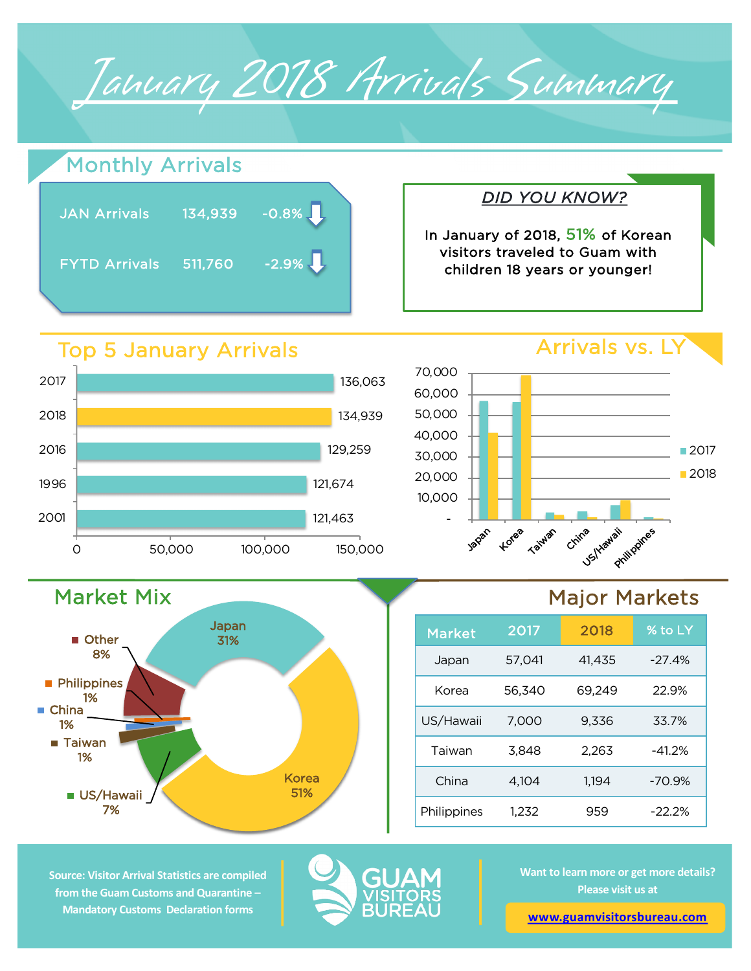Arrivals vs. LY *DID YOU KNOW?* In January of 2018, 51% of Korean visitors traveled to Guam with children 18 years or younger! January 2018 Arrivals Summary JAN Arrivals 134,939 -0.8% L FYTD Arrivals 511,760 -2.9% 121,674 129,259 134,939 136,063 1996 2016 2018 2017 Top 5 January Arrivals Monthly Arrivals 20,000 30,000 40,000 50,000 60,000 70,000 ■2017 ■2018

121,463

-

Japan

Korea

**Taiwan** 

China

US/Hawaii

10,000



0 50,000 100,000 150,000

## Major Markets

Philippines

| <b>Market</b> | 2017   | 2018   | % to LY  |
|---------------|--------|--------|----------|
| Japan         | 57,041 | 41.435 | $-27.4%$ |
| Korea         | 56.340 | 69,249 | 22.9%    |
| US/Hawaii     | 7,000  | 9,336  | 33.7%    |
| Taiwan        | 3,848  | 2,263  | $-41.2%$ |
| China         | 4.104  | 1.194  | $-70.9%$ |
| Philippines   | 1,232  | 959    | $-22.2%$ |

**Source: Visitor Arrival Statistics are compiled from the Guam Customs and Quarantine – Mandatory Customs Declaration forms** 

2001



**Want to learn more or get more details? Please visit us at** 

**[www.guamvisitorsbureau.co](https://www.guamvisitorsbureau.com/research-and-reports/research)m**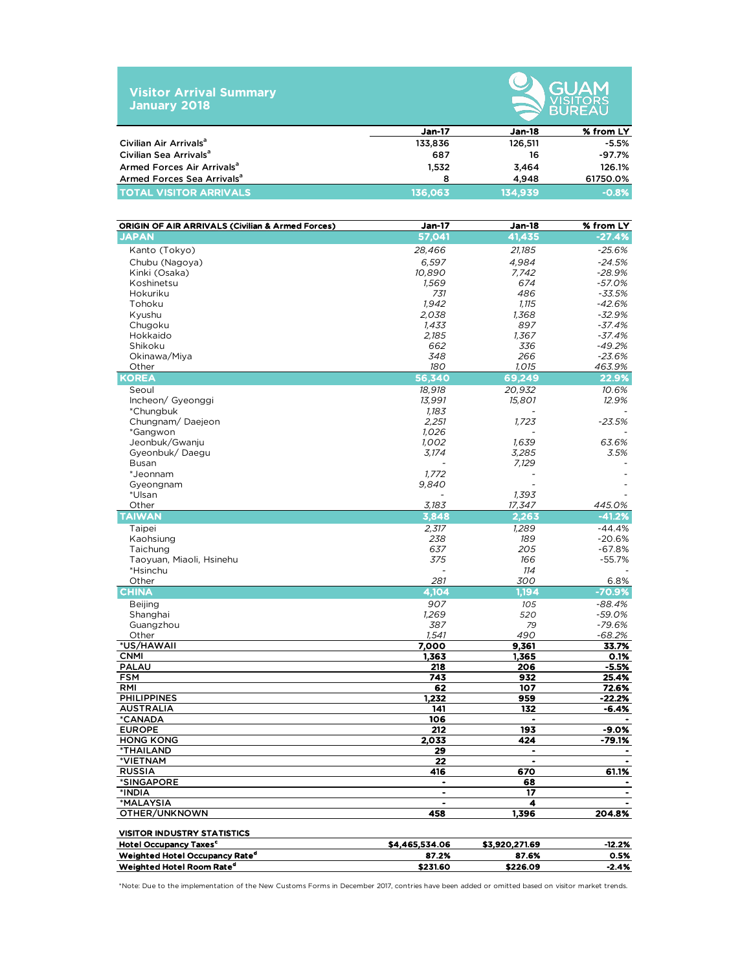| <b>Visitor Arrival Summary</b><br><b>January 2018</b> |               | GUAM<br><b>VISITORS</b><br><b>BUREAU</b> |           |
|-------------------------------------------------------|---------------|------------------------------------------|-----------|
|                                                       | <b>Jan-17</b> | Jan-18                                   | % from LY |
| Civilian Air Arrivals <sup>a</sup>                    | 133,836       | 126.511                                  | $-5.5%$   |
| Civilian Sea Arrivalsª                                | 687           | 16                                       | $-97.7%$  |
| Armed Forces Air Arrivals <sup>a</sup>                | 1.532         | 3.464                                    | 126.1%    |

Armed Forces Sea Arrivalsa 8 4,948 61750.0% TOTAL VISITOR ARRIVALS 136,063 134,939 -0.8%

| ORIGIN OF AIR ARRIVALS (Civilian & Armed Forces) | <b>Jan-17</b>  | <b>Jan-18</b>                | % from LY            |
|--------------------------------------------------|----------------|------------------------------|----------------------|
| <b>JAPAN</b>                                     | 57,041         | 41,435                       | $-27.4%$             |
| Kanto (Tokyo)                                    | 28,466         | 21,185                       | $-25.6%$             |
| Chubu (Nagoya)                                   | 6,597          | 4,984                        | $-24.5%$             |
| Kinki (Osaka)                                    | 10,890         | 7,742                        | $-28.9%$             |
| Koshinetsu                                       | 1,569          | 674                          | $-57.0%$             |
| Hokuriku                                         | 731            | 486                          | $-33.5%$             |
| Tohoku                                           | 1,942          | 1,115                        | $-42.6%$             |
| Kyushu                                           | 2,038          | 1,368                        | $-32.9%$             |
| Chugoku<br>Hokkaido                              | 1,433<br>2,185 | 897<br>1,367                 | $-37.4%$<br>$-37.4%$ |
| Shikoku                                          | 662            | 336                          | $-49.2%$             |
| Okinawa/Miya                                     | 348            | 266                          | $-23.6%$             |
| Other                                            | 180            | 1,015                        | 463.9%               |
| KOREA                                            | 56,340         | 69,249                       | 22.9%                |
| Seoul                                            | 18,918         | 20.932                       | 10.6%                |
| Incheon/ Gyeonggi                                | 13,991         | 15,801                       | 12.9%                |
| *Chungbuk                                        | 1,183          |                              |                      |
| Chungnam/Daejeon                                 | 2,251          | 1,723                        | $-23.5%$             |
| *Gangwon                                         | 1,026          |                              |                      |
| Jeonbuk/Gwanju                                   | 1,002          | 1,639                        | 63.6%                |
| Gyeonbuk/Daegu<br><b>Busan</b>                   | 3,174          | 3,285<br>7,129               | 3.5%                 |
| *Jeonnam                                         | 1,772          | $\overline{a}$               |                      |
| Gyeongnam                                        | 9,840          |                              |                      |
| *Ulsan                                           |                | 1,393                        |                      |
| Other                                            | 3,183          | 17,347                       | 445.0%               |
| TAIWAN                                           | 3,848          | 2,263                        | $-41.2%$             |
| Taipei                                           | 2,317          | 1.289                        | $-44.4%$             |
| Kaohsiung                                        | 238            | 189                          | $-20.6%$             |
| Taichung                                         | 637            | 205                          | $-67.8%$             |
| Taoyuan, Miaoli, Hsinehu                         | 375            | 166                          | $-55.7%$             |
| *Hsinchu                                         |                | 114                          |                      |
| Other<br>CHINA                                   | 281<br>4,104   | 300<br>1,194                 | 6.8%<br>$-70.9%$     |
|                                                  | 907            |                              |                      |
| <b>Beijing</b><br>Shanghai                       | 1,269          | 105<br>520                   | $-88.4%$<br>$-59.0%$ |
| Guangzhou                                        | 387            | 79                           | $-79.6%$             |
| Other                                            | 1,541          | 490                          | $-68.2%$             |
| *US/HAWAII                                       | 7,000          | 9,361                        | 33.7%                |
| <b>CNMI</b>                                      | 1,363          | 1,365                        | 0.1%                 |
| <b>PALAU</b>                                     | 218            | 206                          | $-5.5%$              |
| <b>FSM</b>                                       | 743            | 932                          | 25.4%                |
| RMI                                              | 62             | 107                          | 72.6%                |
| <b>PHILIPPINES</b>                               | 1,232          | 959<br>132                   | $-22.2%$             |
| <b>AUSTRALIA</b><br>*CANADA                      | 141<br>106     | $\blacksquare$               | -6.4%                |
| <b>EUROPE</b>                                    | 212            | 193                          | -9.0%                |
| <b>HONG KONG</b>                                 | 2.033          | 424                          | $-79.1%$             |
| *THAILAND                                        | 29             | $\blacksquare$               |                      |
| *VIETNAM                                         | 22             | $\qquad \qquad \blacksquare$ | $\blacksquare$       |
| <b>RUSSIA</b>                                    | 416            | 670                          | 61.1%                |
| *SINGAPORE                                       | ٠              | 68                           |                      |
| *INDIA                                           | ٠              | 17                           |                      |
| *MALAYSIA<br>OTHER/UNKNOWN                       |                | 4<br>1.396                   |                      |
|                                                  | 458            |                              | 204.8%               |
| <b>VISITOR INDUSTRY STATISTICS</b>               |                |                              |                      |
| Hotel Occupancy Taxes <sup>c</sup>               | \$4,465,534.06 | \$3,920,271.69               | -12.2%               |
| Weighted Hotel Occupancy Rate <sup>d</sup>       | 87.2%          | 87.6%                        | 0.5%                 |
| Weighted Hotel Room Rate <sup>d</sup>            | \$231.60       | \$226.09                     | -2.4%                |

\*Note: Due to the implementation of the New Customs Forms in December 2017, contries have been added or omitted based on visitor market trends.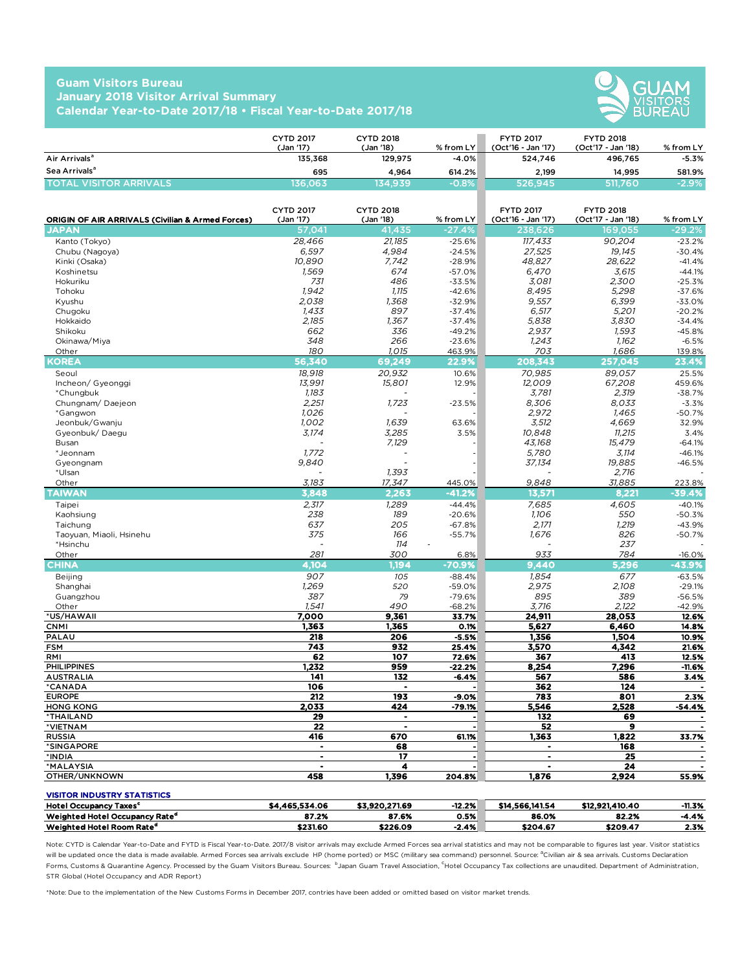## **Guam Visitors Bureau January 2018 Visitor Arrival Summary Calendar Year-to-Date 2017/18 • Fiscal Year-to-Date 2017/18**



|                                | <b>CYTD 2017</b><br>(Jan '17) | <b>CYTD 2018</b><br>(Jan '18) | $%$ from LY | <b>FYTD 2017</b><br>(Oct'16 - Jan '17) | <b>FYTD 2018</b><br>(Oct'17 - Jan '18) | % from LY |
|--------------------------------|-------------------------------|-------------------------------|-------------|----------------------------------------|----------------------------------------|-----------|
| Air Arrivals <sup>a</sup>      | 135,368                       | 129.975                       | $-4.0%$     | 524.746                                | 496.765                                | $-5.3%$   |
| Sea Arrivals <sup>a</sup>      | 695                           | 4.964                         | 614.2%      | 2,199                                  | 14.995                                 | 581.9%    |
| <b>TOTAL VISITOR ARRIVALS.</b> | 136.063                       | 134.939                       | $-0.8%$     | 526.945                                | 511,760                                | $-2.9%$   |

| <b>ORIGIN OF AIR ARRIVALS (Civilian &amp; Armed Forces)</b> | <b>CYTD 2017</b><br>(Jan '17) | <b>CYTD 2018</b><br>(Jan '18) | % from LY | <b>FYTD 2017</b><br>(Oct'16 - Jan '17) | <b>FYTD 2018</b><br>(Oct'17 - Jan '18) | % from LY      |
|-------------------------------------------------------------|-------------------------------|-------------------------------|-----------|----------------------------------------|----------------------------------------|----------------|
| <b>JAPAN</b>                                                | 57,041                        | 41,435                        | $-27.4%$  | 238,626                                | 169,055                                | $-29.2%$       |
| Kanto (Tokyo)                                               | 28,466                        | 21,185                        | $-25.6%$  | 117,433                                | 90,204                                 | $-23.2%$       |
| Chubu (Nagoya)                                              | 6,597                         | 4.984                         | $-24.5%$  | 27,525                                 | 19,145                                 | $-30.4%$       |
| Kinki (Osaka)                                               | 10,890                        | 7,742                         | $-28.9%$  | 48,827                                 | 28,622                                 | $-41.4%$       |
| Koshinetsu                                                  | 1,569                         | 674                           | $-57.0%$  | 6,470                                  | 3,615                                  | $-44.1%$       |
| Hokuriku                                                    | 731                           | 486                           | $-33.5%$  | 3,081                                  | 2,300                                  | $-25.3%$       |
| Tohoku                                                      | 1.942                         | 1,115                         | $-42.6%$  | 8.495                                  | 5,298                                  | $-37.6%$       |
| Kyushu                                                      | 2,038                         | 1,368                         | $-32.9%$  | 9,557                                  | 6,399                                  | $-33.0%$       |
| Chugoku                                                     | 1,433                         | 897                           | $-37.4%$  | 6,517                                  | 5,201                                  | $-20.2%$       |
| Hokkaido                                                    | 2,185                         | 1,367                         | $-37.4%$  | 5,838                                  | 3,830                                  | $-34.4%$       |
| Shikoku                                                     | 662                           | 336                           | $-49.2%$  | 2.937                                  | 1.593                                  | $-45.8%$       |
| Okinawa/Miya                                                | 348                           | 266                           | $-23.6%$  | 1,243                                  | 1,162                                  | $-6.5%$        |
| Other                                                       | 180                           | 1.015                         | 463.9%    | 703                                    | 1.686                                  | 139.8%         |
| KOREA                                                       | 56,340                        | 69,249                        | 22.9%     | 208,343                                | 257,045                                | 23.4%          |
| Seoul                                                       | 18,918                        | 20,932                        | 10.6%     | 70,985                                 | 89,057                                 | 25.5%          |
| Incheon/ Gyeonggi                                           | 13,991                        | 15,801                        | 12.9%     | 12,009                                 | 67,208                                 | 459.6%         |
| *Chungbuk                                                   | 1.183                         |                               |           | 3.781                                  | 2,319                                  | $-38.7%$       |
| Chungnam/Daejeon                                            | 2.251                         | 1,723                         | $-23.5%$  | 8.306                                  | 8.033                                  | $-3.3%$        |
| *Gangwon                                                    | 1.026                         |                               |           | 2.972                                  | 1.465                                  | $-50.7%$       |
| Jeonbuk/Gwanju                                              | 1,002                         | 1,639                         | 63.6%     | 3,512                                  | 4,669                                  | 32.9%          |
| Gyeonbuk/Daegu                                              | 3.174                         | 3,285                         | 3.5%      | 10.848                                 | 11.215                                 | 3.4%           |
| Busan                                                       |                               | 7,129                         |           | 43.168                                 | 15.479                                 | $-64.1%$       |
| *Jeonnam                                                    | 1,772                         |                               |           | 5,780                                  | 3,114                                  | $-46.1%$       |
| Gyeongnam                                                   | 9,840                         |                               |           | 37,134                                 | 19,885                                 | $-46.5%$       |
| *Ulsan                                                      |                               | 1.393                         |           |                                        | 2.716                                  |                |
| Other                                                       | 3,183                         | 17,347                        | 445.0%    | 9,848                                  | 31,885                                 | 223.8%         |
| <b>TAIWAN</b>                                               | 3,848                         | 2.263                         | $-41.2%$  | 13,571                                 | 8,221                                  | $-39.4%$       |
| Taipei                                                      | 2,317                         | 1,289                         | $-44.4%$  | 7,685                                  | 4,605                                  | $-40.1%$       |
| Kaohsiung                                                   | 238                           | 189                           | $-20.6%$  | 1,106                                  | 550                                    | $-50.3%$       |
| Taichung                                                    | 637                           | 205                           | $-67.8%$  | 2,171                                  | 1,219                                  | $-43.9%$       |
| Taoyuan, Miaoli, Hsinehu                                    | 375                           | 166                           | $-55.7%$  | 1,676                                  | 826                                    | $-50.7%$       |
| *Hsinchu                                                    |                               | 114                           |           |                                        | 237                                    |                |
| Other                                                       | 281                           | 300                           | 6.8%      | 933                                    | 784                                    | $-16.0%$       |
| <b>CHINA</b>                                                | 4.104                         | 1.194                         | $-70.9%$  | 9.440                                  | 5.296                                  | $-43.9%$       |
| <b>Beijing</b>                                              | 907                           | 105                           | $-88.4%$  | 1,854                                  | 677                                    | $-63.5%$       |
| Shanghai                                                    | 1,269                         | 520                           | $-59.0%$  | 2,975                                  | 2.108                                  | $-29.1%$       |
| Guangzhou                                                   | 387                           | 79                            | $-79.6%$  | 895                                    | 389                                    | $-56.5%$       |
| Other                                                       | 1,541                         | 490                           | $-68.2%$  | 3,716                                  | 2,122                                  | $-42.9%$       |
| *US/HAWAII                                                  | 7.000                         | 9,361                         | 33.7%     | 24,911                                 | 28,053                                 | 12.6%          |
| <b>CNMI</b>                                                 | 1,363                         | 1,365                         | 0.1%      | 5,627                                  | 6,460                                  | 14.8%          |
| PALAU                                                       | 218                           | 206                           | $-5.5%$   | 1.356                                  | 1.504                                  | 10.9%          |
| <b>FSM</b>                                                  | 743                           | 932                           | 25.4%     | 3,570                                  | 4.342                                  | 21.6%          |
| RMI                                                         | 62                            | 107                           | 72.6%     | 367                                    | 413                                    | 12.5%          |
| <b>PHILIPPINES</b>                                          | 1,232                         | 959                           | $-22.2%$  | 8,254                                  | 7,296                                  | $-11.6%$       |
| <b>AUSTRALIA</b>                                            | 141                           | 132                           | $-6.4%$   | 567                                    | 586                                    | 3.4%           |
| <b>*CANADA</b>                                              | 106                           |                               |           | 362                                    | 124                                    |                |
| <b>EUROPE</b>                                               | 212                           | 193                           | $-9.0%$   | 783                                    | 801                                    | 2.3%           |
| <b>HONG KONG</b>                                            | 2,033                         | 424                           | -79.1%    | 5,546                                  | 2,528                                  | $-54.4%$       |
| *THAILAND                                                   | 29                            | $\blacksquare$                | ٠         | 132                                    | 69                                     |                |
| *VIETNAM                                                    | 22                            |                               |           | 52                                     | 9                                      |                |
| <b>RUSSIA</b>                                               | 416                           | 670                           | 61.1%     | 1.363                                  | 1.822                                  | 33.7%          |
| *SINGAPORE                                                  | $\bullet$                     | 68                            |           | $\bullet$                              | 168                                    |                |
| *INDIA                                                      | $\blacksquare$                | 17                            | $\bullet$ | $\bullet$                              | 25                                     | $\blacksquare$ |
| *MALAYSIA                                                   | $\blacksquare$                | 4                             |           | $\ddot{\phantom{a}}$                   | 24                                     |                |
| OTHER/UNKNOWN                                               | 458                           | 1,396                         | 204.8%    | 1,876                                  | 2,924                                  | 55.9%          |
| <b>VISITOR INDUSTRY STATISTICS</b>                          |                               |                               |           |                                        |                                        |                |

| <b>Hotel Occupancy Taxes<sup>c</sup></b>   | \$4,465,534.06 | \$3.920.271.69 | $-12.2%$ | \$14,566,141.54 | \$12,921,410.40 | $-11.3%$ |
|--------------------------------------------|----------------|----------------|----------|-----------------|-----------------|----------|
| Weighted Hotel Occupancy Rate <sup>d</sup> | 87.2%          | 87.6%          | 0.5%     | 86.0%           | 82.2%           | $-4.4%$  |
| Weighted Hotel Room Rate <sup>d</sup>      | \$231.60       | \$226.09       | $-2.4%$  | \$204.67        | \$209.47        | 2.3%     |

Note: CYTD is Calendar Year-to-Date and FYTD is Fiscal Year-to-Date. 2017/8 visitor arrivals may exclude Armed Forces sea arrival statistics and may not be comparable to figures last year. Visitor statistics will be updated once the data is made available. Armed Forces sea arrivals exclude HP (home ported) or MSC (military sea command) personnel. Source: <sup>a</sup>Civilian air & sea arrivals. Customs Declaration Forms, Customs & Quarantine Agency. Processed by the Guam Visitors Bureau. Sources: bJapan Guam Travel Association, <sup>c</sup>Hotel Occupancy Tax collections are unaudited. Department of Administration, STR Global (Hotel Occupancy and ADR Report)

\*Note: Due to the implementation of the New Customs Forms in December 2017, contries have been added or omitted based on visitor market trends.